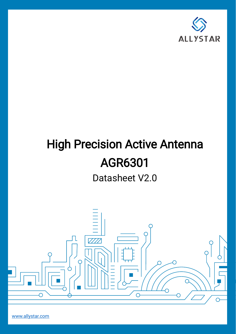

# **High Precision Active Antenna** AGR6301

Datasheet V2.0



[www.allystar.com](http://www.allystar.com/)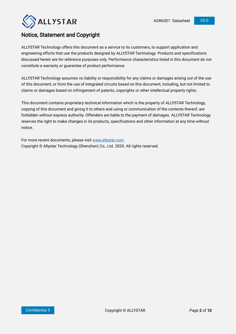

### Notice, Statement and Copyright

ALLYSTAR Technology offers this document as a service to its customers, to support application and engineering efforts that use the products designed by ALLYSTAR Technology. Products and specifications discussed herein are for reference purposes only. Performance characteristics listed in this document do not constitute a warranty or guarantee of product performance.

ALLYSTAR Technology assumes no liability or responsibility for any claims or damages arising out of the use of this document, or from the use of integrated circuits based on this document, including, but not limited to claims or damages based on infringement of patents, copyrights or other intellectual property rights.

This document contains proprietary technical information which is the property of ALLYSTAR Technology, copying of this document and giving it to others and using or communication of the contents thereof, are forbidden without express authority. Offenders are liable to the payment of damages. ALLYSTAR Technology reserves the right to make changes in its products, specifications and other information at any time without notice.

For more recent documents, please visi[t www.allystar.com.](http://www.allystar.com/) Copyright © Allystar Technology (Shenzhen) Co., Ltd. 2020. All rights reserved.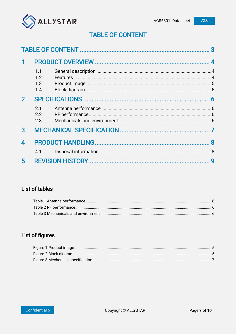

# **TABLE OF CONTENT**

<span id="page-2-0"></span>

|              | 1.1<br>1.2<br>1.3<br>1.4 |  |   |
|--------------|--------------------------|--|---|
| $\mathbf{2}$ | 2.1<br>2.2<br>2.3        |  |   |
| 3            |                          |  |   |
| 4<br>5       | 4.1                      |  | 9 |
|              |                          |  |   |

# **List of tables**

# List of figures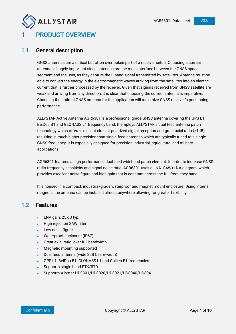<span id="page-3-0"></span>

### <span id="page-3-1"></span>1.1 General description

GNSS antennas are a critical but often overlooked part of a receiver setup. Choosing a correct antenna is hugely important since antennas are the main interface between the GNSS space segment and the user, as they capture the L-band signal transmitted by satellites. Antenna must be able to convert the energy in the electromagnetic waves arriving from the satellites into an electric current that is further processed by the receiver. Given that signals received from GNSS satellite are weak and arriving from any direction, it is clear that choosing the correct antenna is imperative. Choosing the optimal GNSS antenna for the application will maximize GNSS receiver's positioning performance.

ALLYSTAR Active Antenna AGR6301 is a professional grade GNSS antenna covering the GPS L1, BeiDou B1 and GLONASS L1 frequency band. It employs ALLYSTAR's dual feed antenna patch technology which offers excellent circular polarized signal reception and great axial ratio (<1dB), resulting in much higher precision than single feed antennas which are typically tuned to a single GNSS frequency. It is especially designed for precision industrial, agricultural and military applications.

AGR6301 features a high performance dual-feed wideband patch element. In order to increase GNSS radio frequency sensitivity and signal noise ratio, AGR6301 uses a LNA+SAW+LNA diagram, which provides excellent noise figure and high gain that is constant across the full frequency band.

It is housed in a compact, industrial-grade waterproof and magnet mount enclosure. Using internal magnets, the antenna can be installed almost anywhere allowing for greater flexibility.

### <span id="page-3-2"></span>1.2 Features

- LNA gain: 25 dB typ.
- High rejection SAW filter
- Low noise figure
- Waterproof enclosure (IP67)
- Great axial ratio: over full bandwidth
- Magnetic mounting supported
- Dual feed antenna (wide 3dB beam-width)
- GPS L1, BeiDou B1, GLONASS L1 and Galileo E1 frequencies
- Supports single band RTK/RTD
- Supports Allystar HD9301/HD8020/HD8021/HD8040/HD8041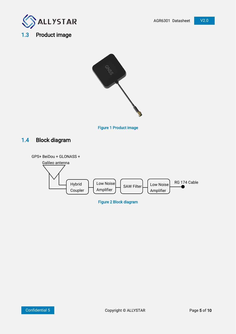

# <span id="page-4-0"></span>1.3 Product image



Figure 1 Product image

## <span id="page-4-2"></span><span id="page-4-1"></span>1.4 Block diagram

<span id="page-4-3"></span>

Figure 2 Block diagram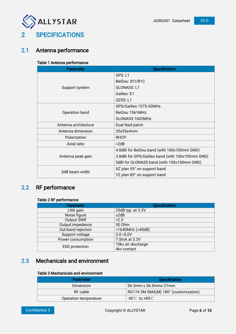

<span id="page-5-0"></span>

### <span id="page-5-4"></span><span id="page-5-1"></span>2.1 Antenna performance

#### Table 1 Antenna performance

| <b>Parameter</b>     | <b>Specification</b>                             |  |
|----------------------|--------------------------------------------------|--|
|                      | GPS: L1                                          |  |
|                      | BeiDou: B1I/B1C                                  |  |
| Support system       | <b>GLONASS: L1</b>                               |  |
|                      | Galileo: E1                                      |  |
|                      | QZSS: L1                                         |  |
|                      | GPS/Galileo 1575.42MHz.                          |  |
| Operation band       | BeiDou 1561MHz.                                  |  |
|                      | GLONASS 1602MHz.                                 |  |
| Antenna architecture | Dual feed patch                                  |  |
| Antenna dimension    | 35x35x4mm                                        |  |
| Polarization         | <b>RHCP</b>                                      |  |
| Axial ratio          | $<$ 2dB                                          |  |
|                      | 4.8dBi for BeiDou band (with 100x100mm GND)      |  |
| Antenna peak gain    | 3.8dBi for GPS/Galileo band (with 100x100mm GND) |  |
|                      | 5dBi for GLONASS band (with 100x100mm GND)       |  |
| 3dB beam width       | XZ plan 95° on support band                      |  |
|                      | YZ plan 85° on support band                      |  |

# <span id="page-5-5"></span><span id="page-5-2"></span>2.2 RF performance

#### Table 2 RF performance

| <b>Parameter</b>      | <b>Specification</b> |  |
|-----------------------|----------------------|--|
| LNA gain              | 25dB typ. at 3.3V    |  |
| Noise figure          | $\leq$ 2dB           |  |
| Output SWR            | 2.5                  |  |
| Output impedance      | 50 Ohm               |  |
| Out-band rejection    | >1640MHz (>40dB)     |  |
| Support voltage       | $3.0 - 5.0V$         |  |
| Power consumption     | 7.5mA at 3.3V        |  |
|                       | 10kv air discharge   |  |
| <b>ESD</b> protection | 4kv contact          |  |

# <span id="page-5-6"></span><span id="page-5-3"></span>2.3 Mechanicals and environment

#### Table 3 Mechanicals and environment

| <b>Parameter</b>      | <b>Specification</b>                 |
|-----------------------|--------------------------------------|
| Dimension             | 56.5mm x 56.5mmx 21mm                |
| RF cable              | RG174 3M SMA(M) 180° (customization) |
| Operation temperature | $-40^{\circ}$ C to $+85^{\circ}$ C   |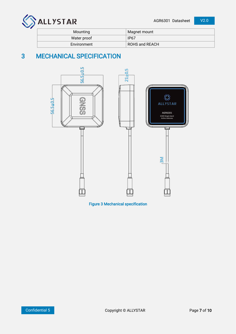

| Mounting    | Magnet mount   |
|-------------|----------------|
| Water proof | <b>IP67</b>    |
| Environment | ROHS and REACH |

# <span id="page-6-0"></span>3 MECHANICAL SPECIFICATION



<span id="page-6-1"></span>Figure 3 Mechanical specification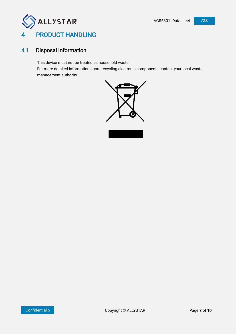<span id="page-7-0"></span>

# <span id="page-7-1"></span>4.1 Disposal information

This device must not be treated as household waste.

For more detailed information about recycling electronic components contact your local waste management authority.

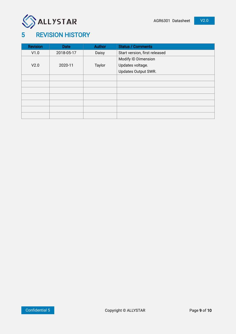

# <span id="page-8-0"></span>5 REVISION HISTORY

| <b>Revision</b> | <b>Date</b> | <b>Author</b> | <b>Status / Comments</b>      |
|-----------------|-------------|---------------|-------------------------------|
| V1.0            | 2018-05-17  | Daisy         | Start version, first released |
|                 |             |               | Modify ID Dimension           |
| V2.0            | 2020-11     | Taylor        | Updates voltage.              |
|                 |             |               | Updates Output SWR.           |
|                 |             |               |                               |
|                 |             |               |                               |
|                 |             |               |                               |
|                 |             |               |                               |
|                 |             |               |                               |
|                 |             |               |                               |
|                 |             |               |                               |